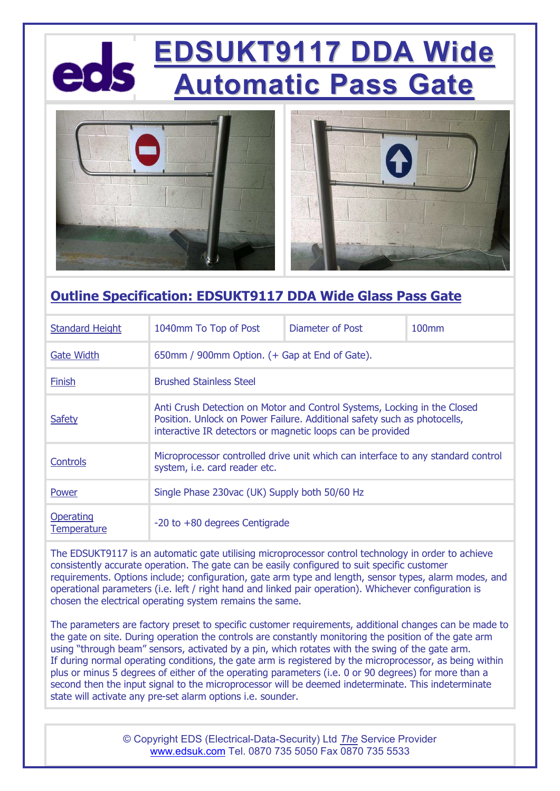# **EDSUKT9117 DDA Wide Automatic Pass Gate**



### **Outline Specification: EDSUKT9117 DDA Wide Glass Pass Gate**

| <b>Standard Height</b>   | 1040mm To Top of Post                                                                                                                                                                                              | Diameter of Post | $100$ mm |
|--------------------------|--------------------------------------------------------------------------------------------------------------------------------------------------------------------------------------------------------------------|------------------|----------|
| <b>Gate Width</b>        | 650mm / 900mm Option. (+ Gap at End of Gate).                                                                                                                                                                      |                  |          |
| Finish                   | <b>Brushed Stainless Steel</b>                                                                                                                                                                                     |                  |          |
| <b>Safety</b>            | Anti Crush Detection on Motor and Control Systems, Locking in the Closed<br>Position. Unlock on Power Failure. Additional safety such as photocells,<br>interactive IR detectors or magnetic loops can be provided |                  |          |
| Controls                 | Microprocessor controlled drive unit which can interface to any standard control<br>system, i.e. card reader etc.                                                                                                  |                  |          |
| Power                    | Single Phase 230vac (UK) Supply both 50/60 Hz                                                                                                                                                                      |                  |          |
| Operating<br>Temperature | $-20$ to $+80$ degrees Centigrade                                                                                                                                                                                  |                  |          |

The EDSUKT9117 is an automatic gate utilising microprocessor control technology in order to achieve consistently accurate operation. The gate can be easily configured to suit specific customer requirements. Options include; configuration, gate arm type and length, sensor types, alarm modes, and operational parameters (i.e. left / right hand and linked pair operation). Whichever configuration is chosen the electrical operating system remains the same.

The parameters are factory preset to specific customer requirements, additional changes can be made to the gate on site. During operation the controls are constantly monitoring the position of the gate arm using "through beam" sensors, activated by a pin, which rotates with the swing of the gate arm. If during normal operating conditions, the gate arm is registered by the microprocessor, as being within plus or minus 5 degrees of either of the operating parameters (i.e. 0 or 90 degrees) for more than a second then the input signal to the microprocessor will be deemed indeterminate. This indeterminate state will activate any pre-set alarm options i.e. sounder.

> © Copyright EDS (Electrical-Data-Security) Ltd *The* Service Provider www.edsuk.com Tel. 0870 735 5050 Fax 0870 735 5533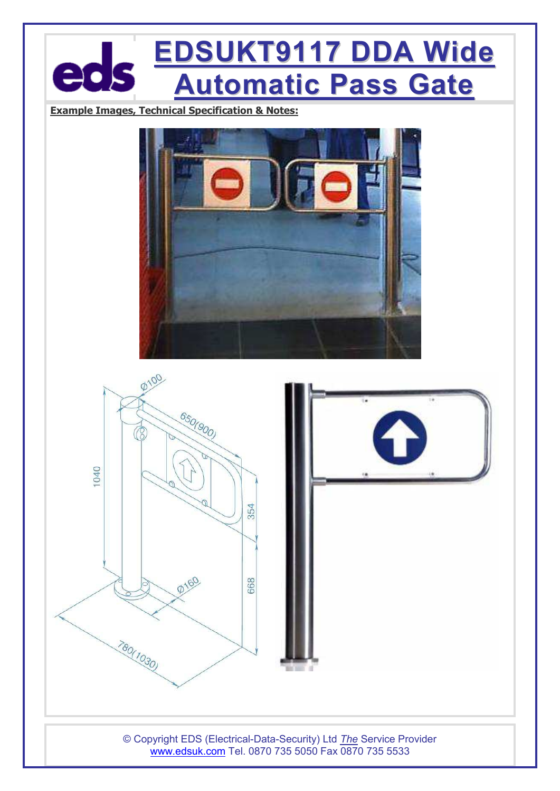# **EDSUKT9117 DDA Wide**  $\mathbf{a}$ **Automatic Pass Gate**

**Example Images, Technical Specification & Notes:**